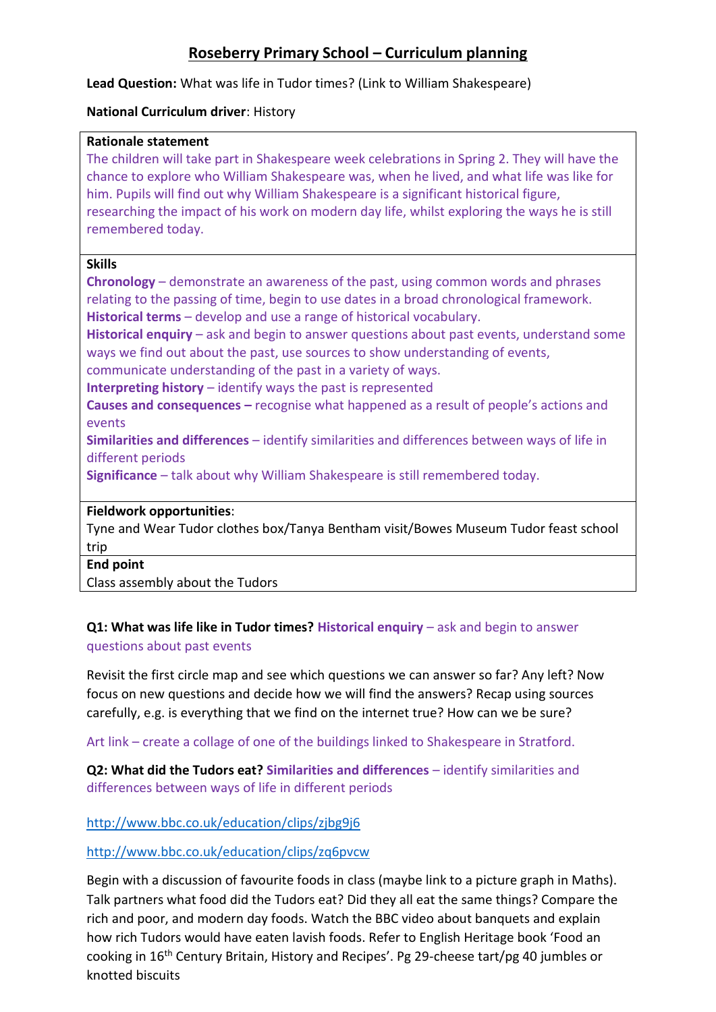# **Roseberry Primary School – Curriculum planning**

**Lead Question:** What was life in Tudor times? (Link to William Shakespeare)

### **National Curriculum driver**: History

### **Rationale statement**

The children will take part in Shakespeare week celebrations in Spring 2. They will have the chance to explore who William Shakespeare was, when he lived, and what life was like for him. Pupils will find out why William Shakespeare is a significant historical figure, researching the impact of his work on modern day life, whilst exploring the ways he is still remembered today.

## **Skills**

**Chronology** – demonstrate an awareness of the past, using common words and phrases relating to the passing of time, begin to use dates in a broad chronological framework. **Historical terms** – develop and use a range of historical vocabulary.

**Historical enquiry** – ask and begin to answer questions about past events, understand some ways we find out about the past, use sources to show understanding of events,

communicate understanding of the past in a variety of ways.

**Interpreting history** – identify ways the past is represented

**Causes and consequences –** recognise what happened as a result of people's actions and events

**Similarities and differences** – identify similarities and differences between ways of life in different periods

**Significance** – talk about why William Shakespeare is still remembered today.

## **Fieldwork opportunities**:

Tyne and Wear Tudor clothes box/Tanya Bentham visit/Bowes Museum Tudor feast school trip

#### **End point**

Class assembly about the Tudors

## **Q1: What was life like in Tudor times? Historical enquiry** – ask and begin to answer questions about past events

Revisit the first circle map and see which questions we can answer so far? Any left? Now focus on new questions and decide how we will find the answers? Recap using sources carefully, e.g. is everything that we find on the internet true? How can we be sure?

Art link – create a collage of one of the buildings linked to Shakespeare in Stratford.

**Q2: What did the Tudors eat? Similarities and differences** – identify similarities and differences between ways of life in different periods

## <http://www.bbc.co.uk/education/clips/zjbg9j6>

## <http://www.bbc.co.uk/education/clips/zq6pvcw>

Begin with a discussion of favourite foods in class (maybe link to a picture graph in Maths). Talk partners what food did the Tudors eat? Did they all eat the same things? Compare the rich and poor, and modern day foods. Watch the BBC video about banquets and explain how rich Tudors would have eaten lavish foods. Refer to English Heritage book 'Food an cooking in 16th Century Britain, History and Recipes'. Pg 29-cheese tart/pg 40 jumbles or knotted biscuits